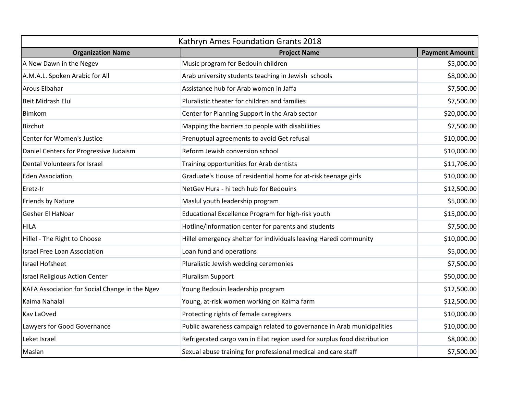| Kathryn Ames Foundation Grants 2018            |                                                                           |                       |  |
|------------------------------------------------|---------------------------------------------------------------------------|-----------------------|--|
| <b>Organization Name</b>                       | <b>Project Name</b>                                                       | <b>Payment Amount</b> |  |
| A New Dawn in the Negev                        | Music program for Bedouin children                                        | \$5,000.00            |  |
| A.M.A.L. Spoken Arabic for All                 | Arab university students teaching in Jewish schools                       | \$8,000.00            |  |
| <b>Arous Elbahar</b>                           | Assistance hub for Arab women in Jaffa                                    | \$7,500.00            |  |
| <b>Beit Midrash Elul</b>                       | Pluralistic theater for children and families                             | \$7,500.00            |  |
| Bimkom                                         | Center for Planning Support in the Arab sector                            | \$20,000.00           |  |
| Bizchut                                        | Mapping the barriers to people with disabilities                          | \$7,500.00            |  |
| Center for Women's Justice                     | Prenuptual agreements to avoid Get refusal                                | \$10,000.00           |  |
| Daniel Centers for Progressive Judaism         | Reform Jewish conversion school                                           | \$10,000.00           |  |
| Dental Volunteers for Israel                   | Training opportunities for Arab dentists                                  | \$11,706.00           |  |
| <b>Eden Association</b>                        | Graduate's House of residential home for at-risk teenage girls            | \$10,000.00           |  |
| Eretz-Ir                                       | NetGev Hura - hi tech hub for Bedouins                                    | \$12,500.00           |  |
| Friends by Nature                              | Maslul youth leadership program                                           | \$5,000.00            |  |
| Gesher El HaNoar                               | Educational Excellence Program for high-risk youth                        | \$15,000.00           |  |
| <b>HILA</b>                                    | Hotline/information center for parents and students                       | \$7,500.00            |  |
| Hillel - The Right to Choose                   | Hillel emergency shelter for individuals leaving Haredi community         | \$10,000.00           |  |
| <b>Israel Free Loan Association</b>            | Loan fund and operations                                                  | \$5,000.00            |  |
| <b>Israel Hofsheet</b>                         | Pluralistic Jewish wedding ceremonies                                     | \$7,500.00            |  |
| <b>Israel Religious Action Center</b>          | Pluralism Support                                                         | \$50,000.00           |  |
| KAFA Association for Social Change in the Ngev | Young Bedouin leadership program                                          | \$12,500.00           |  |
| Kaima Nahalal                                  | Young, at-risk women working on Kaima farm                                | \$12,500.00           |  |
| <b>Kav LaOved</b>                              | Protecting rights of female caregivers                                    | \$10,000.00           |  |
| Lawyers for Good Governance                    | Public awareness campaign related to governance in Arab municipalities    | \$10,000.00           |  |
| Leket Israel                                   | Refrigerated cargo van in Eilat region used for surplus food distribution | \$8,000.00            |  |
| Maslan                                         | Sexual abuse training for professional medical and care staff             | \$7,500.00            |  |